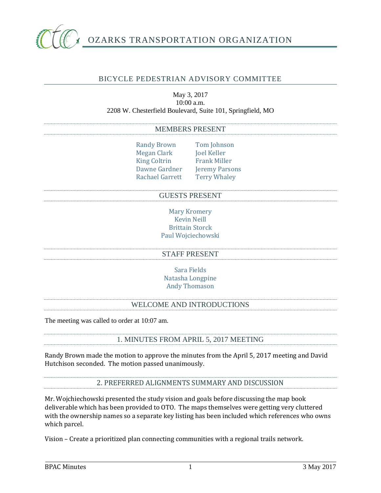

# OZARKS TRANSPORTATION ORGANIZATION

## BICYCLE PEDESTRIAN ADVISORY COMMITTEE

#### May 3, 2017 10:00 a.m. 2208 W. Chesterfield Boulevard, Suite 101, Springfield, MO

#### MEMBERS PRESENT

Randy Brown Tom Johnson Megan Clark Joel Keller King Coltrin Frank Miller Dawne Gardner Jeremy Parsons Rachael Garrett Terry Whaley

#### GUESTS PRESENT

Mary Kromery Kevin Neill Brittain Storck Paul Wojciechowski

#### STAFF PRESENT

Sara Fields Natasha Longpine Andy Thomason

### WELCOME AND INTRODUCTIONS

The meeting was called to order at 10:07 am.

#### 1. MINUTES FROM APRIL 5, 2017 MEETING

Randy Brown made the motion to approve the minutes from the April 5, 2017 meeting and David Hutchison seconded. The motion passed unanimously.

2. PREFERRED ALIGNMENTS SUMMARY AND DISCUSSION

Mr. Wojchiechowski presented the study vision and goals before discussing the map book deliverable which has been provided to OTO. The maps themselves were getting very cluttered with the ownership names so a separate key listing has been included which references who owns which parcel.

Vision – Create a prioritized plan connecting communities with a regional trails network.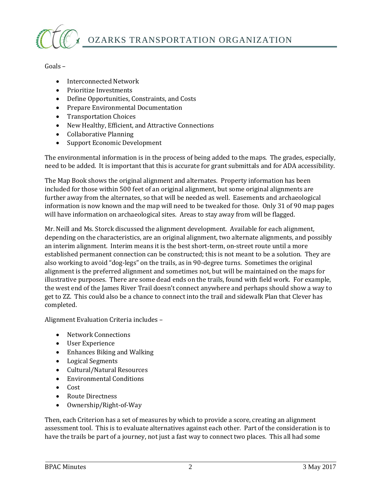

Goals –

- Interconnected Network
- Prioritize Investments
- Define Opportunities, Constraints, and Costs
- Prepare Environmental Documentation
- Transportation Choices
- New Healthy, Efficient, and Attractive Connections
- Collaborative Planning
- Support Economic Development

The environmental information is in the process of being added to the maps. The grades, especially, need to be added. It is important that this is accurate for grant submittals and for ADA accessibility.

The Map Book shows the original alignment and alternates. Property information has been included for those within 500 feet of an original alignment, but some original alignments are further away from the alternates, so that will be needed as well. Easements and archaeological information is now known and the map will need to be tweaked for those. Only 31 of 90 map pages will have information on archaeological sites. Areas to stay away from will be flagged.

Mr. Neill and Ms. Storck discussed the alignment development. Available for each alignment, depending on the characteristics, are an original alignment, two alternate alignments, and possibly an interim alignment. Interim means it is the best short-term, on-street route until a more established permanent connection can be constructed; this is not meant to be a solution. They are also working to avoid "dog-legs" on the trails, as in 90-degree turns. Sometimes the original alignment is the preferred alignment and sometimes not, but will be maintained on the maps for illustrative purposes. There are some dead ends on the trails, found with field work. For example, the west end of the James River Trail doesn't connect anywhere and perhaps should show a way to get to ZZ. This could also be a chance to connect into the trail and sidewalk Plan that Clever has completed.

Alignment Evaluation Criteria includes –

- Network Connections
- User Experience
- Enhances Biking and Walking
- Logical Segments
- Cultural/Natural Resources
- Environmental Conditions
- Cost
- Route Directness
- Ownership/Right-of-Way

Then, each Criterion has a set of measures by which to provide a score, creating an alignment assessment tool. This is to evaluate alternatives against each other. Part of the consideration is to have the trails be part of a journey, not just a fast way to connect two places. This all had some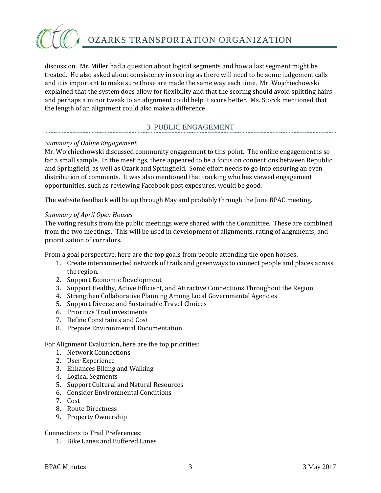

discussion. Mr. Miller had a question about logical segments and how a last segment might be treated. He also asked about consistency in scoring as there will need to be some judgement calls and it is important to make sure those are made the same way each time. Mr. Wojchiechowski explained that the system does allow for flexibility and that the scoring should avoid splitting hairs and perhaps a minor tweak to an alignment could help it score better. Ms. Storck mentioned that the length of an alignment could also make a difference.

## 3. PUBLIC ENGAGEMENT

#### *Summary of Online Engagement*

Mr. Wojchiechowski discussed community engagement to this point. The online engagement is so far a small sample. In the meetings, there appeared to be a focus on connections between Republic and Springfield, as well as Ozark and Springfield. Some effort needs to go into ensuring an even distribution of comments. It was also mentioned that tracking who has viewed engagement opportunities, such as reviewing Facebook post exposures, would be good.

The website feedback will be up through May and probably through the June BPAC meeting.

#### *Summary of April Open Houses*

The voting results from the public meetings were shared with the Committee. These are combined from the two meetings. This will be used in development of alignments, rating of alignments, and prioritization of corridors.

From a goal perspective, here are the top goals from people attending the open houses:

- 1. Create interconnected network of trails and greenways to connect people and places across the region.
- 2. Support Economic Development
- 3. Support Healthy, Active Efficient, and Attractive Connections Throughout the Region
- 4. Strengthen Collaborative Planning Among Local Governmental Agencies
- 5. Support Diverse and Sustainable Travel Choices
- 6. Prioritize Trail investments
- 7. Define Constraints and Cost
- 8. Prepare Environmental Documentation

For Alignment Evaluation, here are the top priorities:

- 1. Network Connections
- 2. User Experience
- 3. Enhances Biking and Walking
- 4. Logical Segments
- 5. Support Cultural and Natural Resources
- 6. Consider Environmental Conditions
- 7. Cost
- 8. Route Directness
- 9. Property Ownership

Connections to Trail Preferences:

1. Bike Lanes and Buffered Lanes